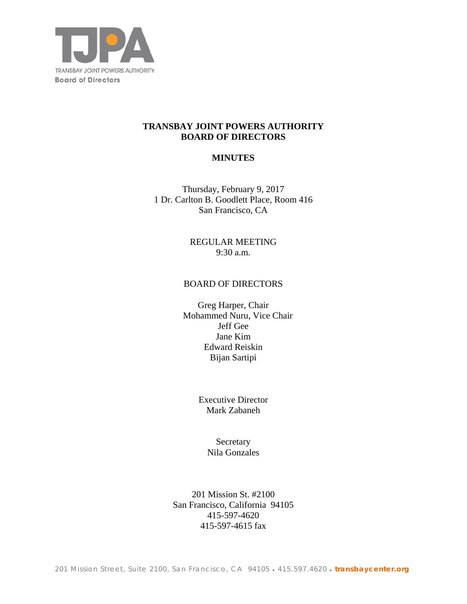

## **TRANSBAY JOINT POWERS AUTHORITY BOARD OF DIRECTORS**

# **MINUTES**

Thursday, February 9, 2017 1 Dr. Carlton B. Goodlett Place, Room 416 San Francisco, CA

> REGULAR MEETING 9:30 a.m.

### BOARD OF DIRECTORS

Greg Harper, Chair Mohammed Nuru, Vice Chair Jeff Gee Jane Kim Edward Reiskin Bijan Sartipi

> Executive Director Mark Zabaneh

> > **Secretary** Nila Gonzales

201 Mission St. #2100 San Francisco, California 94105 415-597-4620 415-597-4615 fax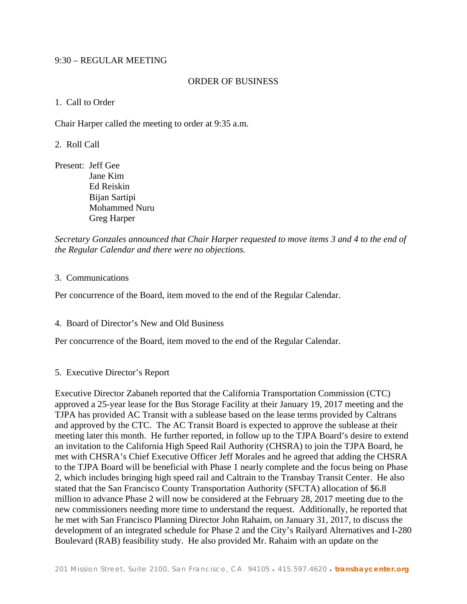### 9:30 – REGULAR MEETING

### ORDER OF BUSINESS

### 1. Call to Order

Chair Harper called the meeting to order at 9:35 a.m.

2. Roll Call

Present: Jeff Gee Jane Kim Ed Reiskin Bijan Sartipi Mohammed Nuru Greg Harper

*Secretary Gonzales announced that Chair Harper requested to move items 3 and 4 to the end of the Regular Calendar and there were no objections.* 

#### 3. Communications

Per concurrence of the Board, item moved to the end of the Regular Calendar.

4. Board of Director's New and Old Business

Per concurrence of the Board, item moved to the end of the Regular Calendar.

#### 5. Executive Director's Report

Executive Director Zabaneh reported that the California Transportation Commission (CTC) approved a 25-year lease for the Bus Storage Facility at their January 19, 2017 meeting and the TJPA has provided AC Transit with a sublease based on the lease terms provided by Caltrans and approved by the CTC. The AC Transit Board is expected to approve the sublease at their meeting later this month. He further reported, in follow up to the TJPA Board's desire to extend an invitation to the California High Speed Rail Authority (CHSRA) to join the TJPA Board, he met with CHSRA's Chief Executive Officer Jeff Morales and he agreed that adding the CHSRA to the TJPA Board will be beneficial with Phase 1 nearly complete and the focus being on Phase 2, which includes bringing high speed rail and Caltrain to the Transbay Transit Center. He also stated that the San Francisco County Transportation Authority (SFCTA) allocation of \$6.8 million to advance Phase 2 will now be considered at the February 28, 2017 meeting due to the new commissioners needing more time to understand the request. Additionally, he reported that he met with San Francisco Planning Director John Rahaim, on January 31, 2017, to discuss the development of an integrated schedule for Phase 2 and the City's Railyard Alternatives and I-280 Boulevard (RAB) feasibility study. He also provided Mr. Rahaim with an update on the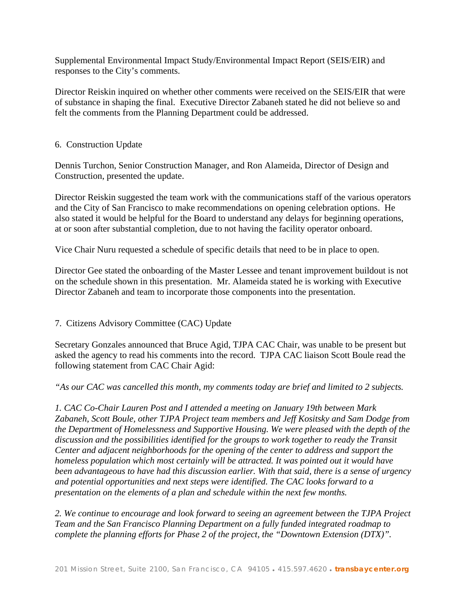Supplemental Environmental Impact Study/Environmental Impact Report (SEIS/EIR) and responses to the City's comments.

Director Reiskin inquired on whether other comments were received on the SEIS/EIR that were of substance in shaping the final. Executive Director Zabaneh stated he did not believe so and felt the comments from the Planning Department could be addressed.

## 6. Construction Update

Dennis Turchon, Senior Construction Manager, and Ron Alameida, Director of Design and Construction, presented the update.

Director Reiskin suggested the team work with the communications staff of the various operators and the City of San Francisco to make recommendations on opening celebration options. He also stated it would be helpful for the Board to understand any delays for beginning operations, at or soon after substantial completion, due to not having the facility operator onboard.

Vice Chair Nuru requested a schedule of specific details that need to be in place to open.

Director Gee stated the onboarding of the Master Lessee and tenant improvement buildout is not on the schedule shown in this presentation. Mr. Alameida stated he is working with Executive Director Zabaneh and team to incorporate those components into the presentation.

# 7. Citizens Advisory Committee (CAC) Update

Secretary Gonzales announced that Bruce Agid, TJPA CAC Chair, was unable to be present but asked the agency to read his comments into the record. TJPA CAC liaison Scott Boule read the following statement from CAC Chair Agid:

*"As our CAC was cancelled this month, my comments today are brief and limited to 2 subjects.* 

*1. CAC Co-Chair Lauren Post and I attended a meeting on January 19th between Mark Zabaneh, Scott Boule, other TJPA Project team members and Jeff Kositsky and Sam Dodge from the Department of Homelessness and Supportive Housing. We were pleased with the depth of the discussion and the possibilities identified for the groups to work together to ready the Transit Center and adjacent neighborhoods for the opening of the center to address and support the homeless population which most certainly will be attracted. It was pointed out it would have been advantageous to have had this discussion earlier. With that said, there is a sense of urgency and potential opportunities and next steps were identified. The CAC looks forward to a presentation on the elements of a plan and schedule within the next few months.* 

*2. We continue to encourage and look forward to seeing an agreement between the TJPA Project Team and the San Francisco Planning Department on a fully funded integrated roadmap to complete the planning efforts for Phase 2 of the project, the "Downtown Extension (DTX)".*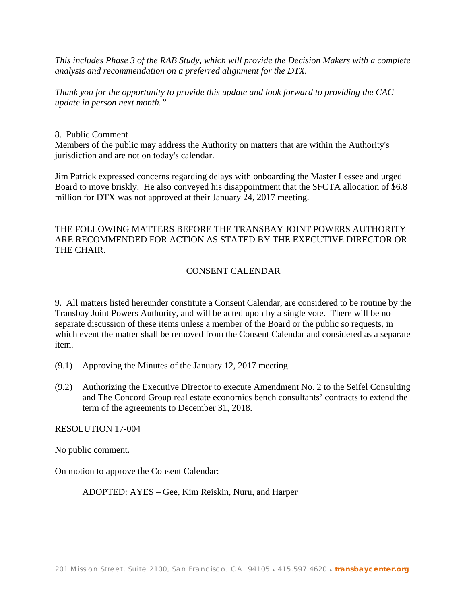*This includes Phase 3 of the RAB Study, which will provide the Decision Makers with a complete analysis and recommendation on a preferred alignment for the DTX.* 

*Thank you for the opportunity to provide this update and look forward to providing the CAC update in person next month."* 

### 8. Public Comment

Members of the public may address the Authority on matters that are within the Authority's jurisdiction and are not on today's calendar.

Jim Patrick expressed concerns regarding delays with onboarding the Master Lessee and urged Board to move briskly. He also conveyed his disappointment that the SFCTA allocation of \$6.8 million for DTX was not approved at their January 24, 2017 meeting.

# THE FOLLOWING MATTERS BEFORE THE TRANSBAY JOINT POWERS AUTHORITY ARE RECOMMENDED FOR ACTION AS STATED BY THE EXECUTIVE DIRECTOR OR THE CHAIR.

# CONSENT CALENDAR

9. All matters listed hereunder constitute a Consent Calendar, are considered to be routine by the Transbay Joint Powers Authority, and will be acted upon by a single vote. There will be no separate discussion of these items unless a member of the Board or the public so requests, in which event the matter shall be removed from the Consent Calendar and considered as a separate item.

- (9.1) Approving the Minutes of the January 12, 2017 meeting.
- (9.2) Authorizing the Executive Director to execute Amendment No. 2 to the Seifel Consulting and The Concord Group real estate economics bench consultants' contracts to extend the term of the agreements to December 31, 2018.

#### RESOLUTION 17-004

No public comment.

On motion to approve the Consent Calendar:

ADOPTED: AYES – Gee, Kim Reiskin, Nuru, and Harper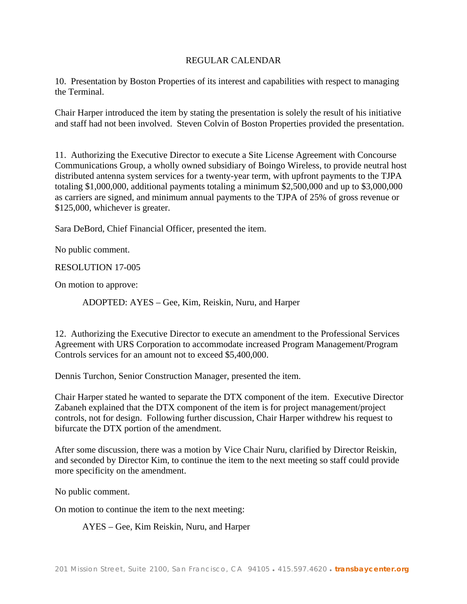## REGULAR CALENDAR

10. Presentation by Boston Properties of its interest and capabilities with respect to managing the Terminal.

Chair Harper introduced the item by stating the presentation is solely the result of his initiative and staff had not been involved. Steven Colvin of Boston Properties provided the presentation.

11. Authorizing the Executive Director to execute a Site License Agreement with Concourse Communications Group, a wholly owned subsidiary of Boingo Wireless, to provide neutral host distributed antenna system services for a twenty-year term, with upfront payments to the TJPA totaling \$1,000,000, additional payments totaling a minimum \$2,500,000 and up to \$3,000,000 as carriers are signed, and minimum annual payments to the TJPA of 25% of gross revenue or \$125,000, whichever is greater.

Sara DeBord, Chief Financial Officer, presented the item.

No public comment.

RESOLUTION 17-005

On motion to approve:

ADOPTED: AYES – Gee, Kim, Reiskin, Nuru, and Harper

12. Authorizing the Executive Director to execute an amendment to the Professional Services Agreement with URS Corporation to accommodate increased Program Management/Program Controls services for an amount not to exceed \$5,400,000.

Dennis Turchon, Senior Construction Manager, presented the item.

Chair Harper stated he wanted to separate the DTX component of the item. Executive Director Zabaneh explained that the DTX component of the item is for project management/project controls, not for design. Following further discussion, Chair Harper withdrew his request to bifurcate the DTX portion of the amendment.

After some discussion, there was a motion by Vice Chair Nuru, clarified by Director Reiskin, and seconded by Director Kim, to continue the item to the next meeting so staff could provide more specificity on the amendment.

No public comment.

On motion to continue the item to the next meeting:

AYES – Gee, Kim Reiskin, Nuru, and Harper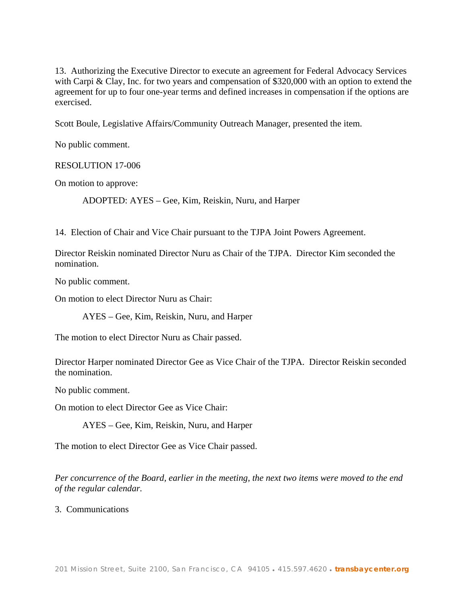13. Authorizing the Executive Director to execute an agreement for Federal Advocacy Services with Carpi & Clay, Inc. for two years and compensation of \$320,000 with an option to extend the agreement for up to four one-year terms and defined increases in compensation if the options are exercised.

Scott Boule, Legislative Affairs/Community Outreach Manager, presented the item.

No public comment.

RESOLUTION 17-006

On motion to approve:

ADOPTED: AYES – Gee, Kim, Reiskin, Nuru, and Harper

14. Election of Chair and Vice Chair pursuant to the TJPA Joint Powers Agreement.

Director Reiskin nominated Director Nuru as Chair of the TJPA. Director Kim seconded the nomination.

No public comment.

On motion to elect Director Nuru as Chair:

AYES – Gee, Kim, Reiskin, Nuru, and Harper

The motion to elect Director Nuru as Chair passed.

Director Harper nominated Director Gee as Vice Chair of the TJPA. Director Reiskin seconded the nomination.

No public comment.

On motion to elect Director Gee as Vice Chair:

AYES – Gee, Kim, Reiskin, Nuru, and Harper

The motion to elect Director Gee as Vice Chair passed.

*Per concurrence of the Board, earlier in the meeting, the next two items were moved to the end of the regular calendar.* 

3. Communications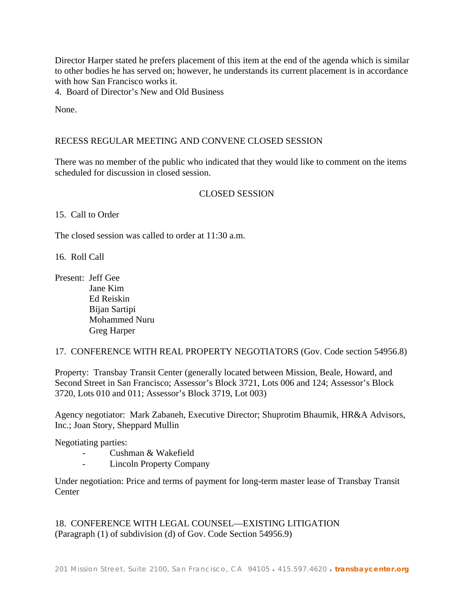Director Harper stated he prefers placement of this item at the end of the agenda which is similar to other bodies he has served on; however, he understands its current placement is in accordance with how San Francisco works it.

4. Board of Director's New and Old Business

None.

### RECESS REGULAR MEETING AND CONVENE CLOSED SESSION

There was no member of the public who indicated that they would like to comment on the items scheduled for discussion in closed session.

## CLOSED SESSION

15. Call to Order

The closed session was called to order at 11:30 a.m.

16. Roll Call

Present: Jeff Gee Jane Kim Ed Reiskin Bijan Sartipi Mohammed Nuru Greg Harper

17. CONFERENCE WITH REAL PROPERTY NEGOTIATORS (Gov. Code section 54956.8)

Property: Transbay Transit Center (generally located between Mission, Beale, Howard, and Second Street in San Francisco; Assessor's Block 3721, Lots 006 and 124; Assessor's Block 3720, Lots 010 and 011; Assessor's Block 3719, Lot 003)

Agency negotiator: Mark Zabaneh, Executive Director; Shuprotim Bhaumik, HR&A Advisors, Inc.; Joan Story, Sheppard Mullin

Negotiating parties:

- Cushman & Wakefield
- Lincoln Property Company

Under negotiation: Price and terms of payment for long-term master lease of Transbay Transit **Center** 

18. CONFERENCE WITH LEGAL COUNSEL—EXISTING LITIGATION (Paragraph (1) of subdivision (d) of Gov. Code Section 54956.9)